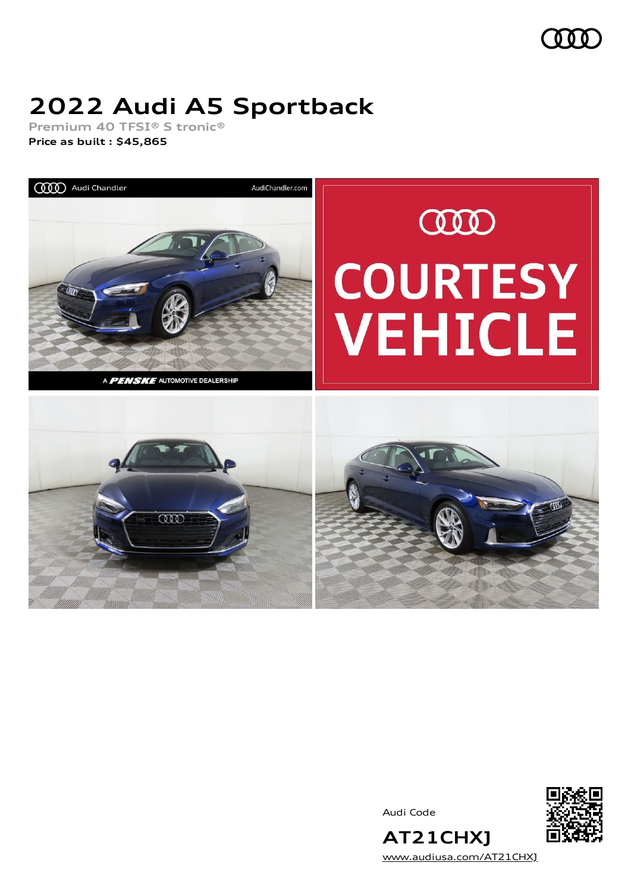

# **2022 Audi A5 Sportback**

**Premium 40 TFSI® S tronic® Price as built [:](#page-9-0) \$45,865**



Audi Code



**AT21CHXJ** [www.audiusa.com/AT21CHXJ](https://www.audiusa.com/AT21CHXJ)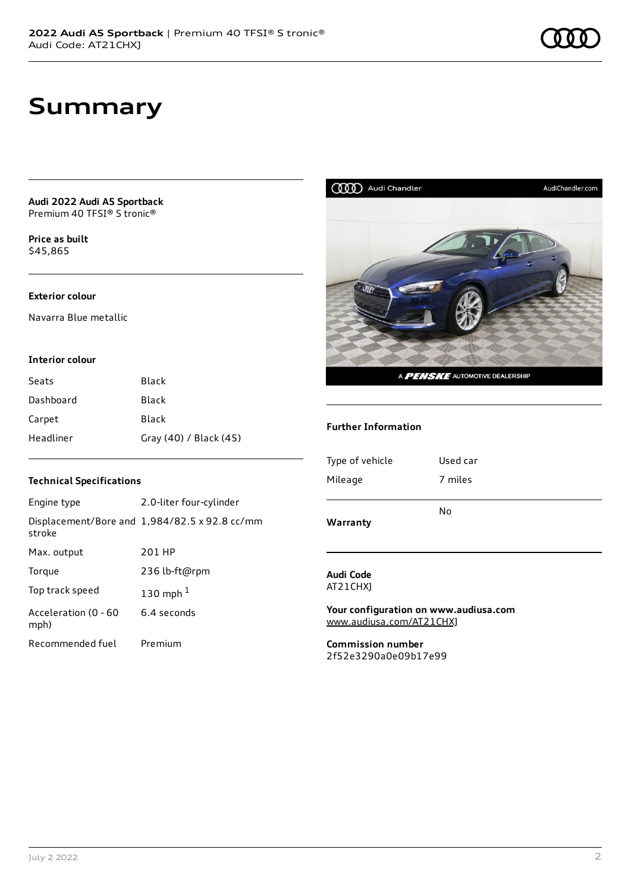**Audi 2022 Audi A5 Sportback** Premium 40 TFSI® S tronic®

**Price as buil[t](#page-9-0)** \$45,865

#### **Exterior colour**

Navarra Blue metallic

#### **Interior colour**

| Seats     | Black                  |
|-----------|------------------------|
| Dashboard | Black                  |
| Carpet    | Black                  |
| Headliner | Gray (40) / Black (45) |

#### **Technical Specifications**

| Engine type                  | 2.0-liter four-cylinder                              |
|------------------------------|------------------------------------------------------|
| stroke                       | Displacement/Bore and $1,984/82.5 \times 92.8$ cc/mm |
| Max. output                  | 201 HP                                               |
| Torque                       | 236 lb-ft@rpm                                        |
| Top track speed              | 130 mph $1$                                          |
| Acceleration (0 - 60<br>mph) | 6.4 seconds                                          |
| Recommended fuel             | Premium                                              |



#### **Further Information**

| 7 miles  |
|----------|
| Used car |
|          |

#### **Audi Code** AT21CHXJ

**Your configuration on www.audiusa.com** [www.audiusa.com/AT21CHXJ](https://www.audiusa.com/AT21CHXJ)

**Commission number** 2f52e3290a0e09b17e99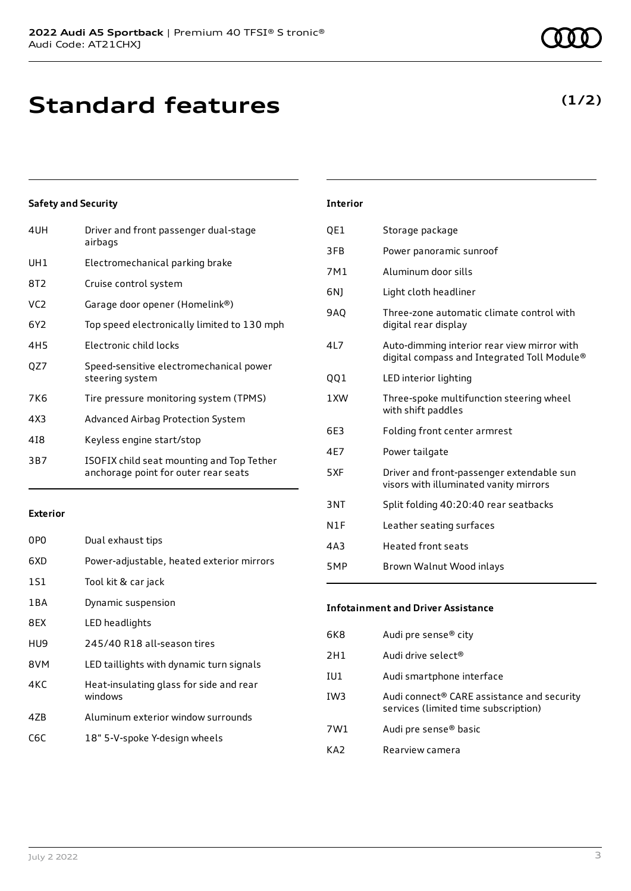# **Standard features**

### **Safety and Security**

| 4UH             | Driver and front passenger dual-stage<br>airbags                                  |
|-----------------|-----------------------------------------------------------------------------------|
| UH1             | Electromechanical parking brake                                                   |
| 8T2             | Cruise control system                                                             |
| VC <sub>2</sub> | Garage door opener (Homelink®)                                                    |
| 6Y2             | Top speed electronically limited to 130 mph                                       |
| 4H <sub>5</sub> | Electronic child locks                                                            |
| OZ7             | Speed-sensitive electromechanical power<br>steering system                        |
| 7K6             | Tire pressure monitoring system (TPMS)                                            |
| 4X3             | Advanced Airbag Protection System                                                 |
| 418             | Keyless engine start/stop                                                         |
| 3B7             | ISOFIX child seat mounting and Top Tether<br>anchorage point for outer rear seats |

#### **Exterior**

| 0PO   | Dual exhaust tips                                  |
|-------|----------------------------------------------------|
| 6XD   | Power-adjustable, heated exterior mirrors          |
| 1S1   | Tool kit & car jack                                |
| 1 B A | Dynamic suspension                                 |
| 8EX   | LED headlights                                     |
| HU9   | 245/40 R18 all-season tires                        |
| 8VM   | LED taillights with dynamic turn signals           |
| 4KC   | Heat-insulating glass for side and rear<br>windows |
| 47B   | Aluminum exterior window surrounds                 |
| C6C   | 18" 5-V-spoke Y-design wheels                      |
|       |                                                    |

### **Interior**

| QE1        | Storage package                                                                            |
|------------|--------------------------------------------------------------------------------------------|
| 3FB        | Power panoramic sunroof                                                                    |
| 7M1        | Aluminum door sills                                                                        |
| 6N)        | Light cloth headliner                                                                      |
| <b>9AQ</b> | Three-zone automatic climate control with<br>digital rear display                          |
| 4L7        | Auto-dimming interior rear view mirror with<br>digital compass and Integrated Toll Module® |
| 001        | LED interior lighting                                                                      |
| 1 XW       | Three-spoke multifunction steering wheel<br>with shift paddles                             |
| 6E3        | Folding front center armrest                                                               |
| 4E7        | Power tailgate                                                                             |
| 5XF        | Driver and front-passenger extendable sun<br>visors with illuminated vanity mirrors        |
| 3NT        | Split folding 40:20:40 rear seatbacks                                                      |
| N1F        | Leather seating surfaces                                                                   |
| 4A3        | <b>Heated front seats</b>                                                                  |
| 5MP        | Brown Walnut Wood inlays                                                                   |

### **Infotainment and Driver Assistance**

| 6K8   | Audi pre sense <sup>®</sup> city                                                   |
|-------|------------------------------------------------------------------------------------|
| 2H1   | Audi drive select®                                                                 |
| IU1   | Audi smartphone interface                                                          |
| IW3   | Audi connect® CARE assistance and security<br>services (limited time subscription) |
| 7W1   | Audi pre sense <sup>®</sup> basic                                                  |
| K A 7 | Rearview camera                                                                    |

### **(1/2)**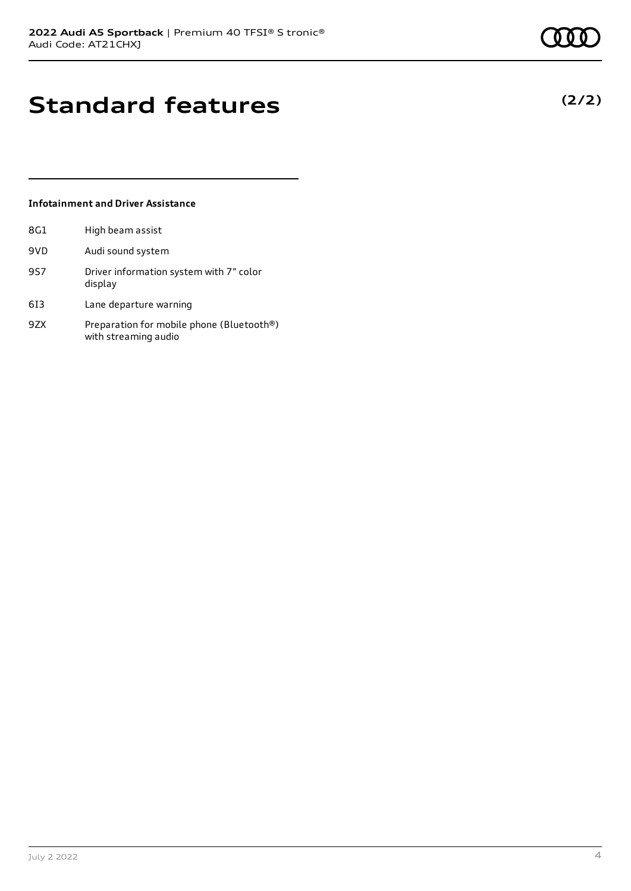**(2/2)**

# **Standard features**

### **Infotainment and Driver Assistance**

| 8G1 | High beam assist                                                  |
|-----|-------------------------------------------------------------------|
| 9VD | Audi sound system                                                 |
| 9S7 | Driver information system with 7" color<br>display                |
| 613 | Lane departure warning                                            |
| 9ZX | Preparation for mobile phone (Bluetooth®)<br>with streaming audio |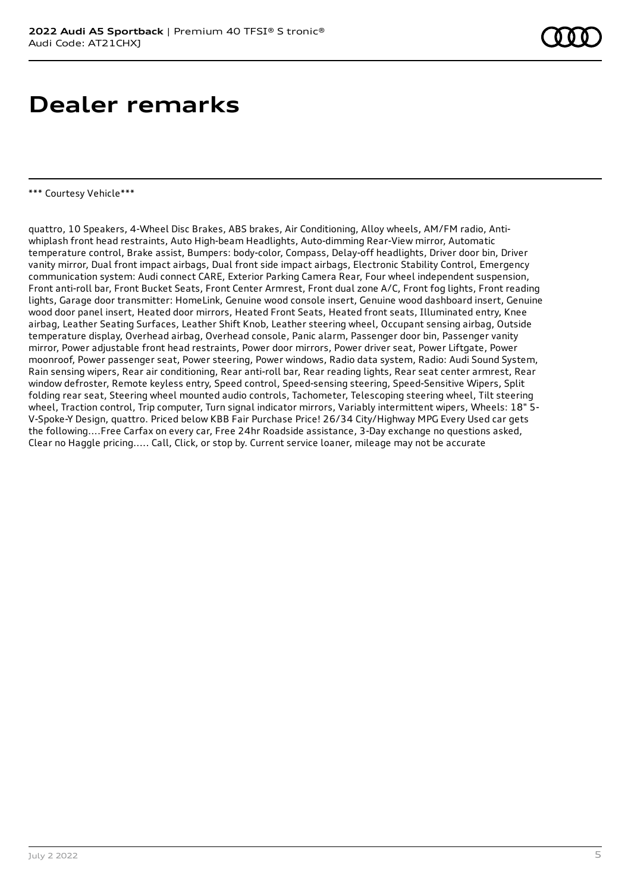## **Dealer remarks**

#### \*\*\* Courtesy Vehicle\*\*\*

quattro, 10 Speakers, 4-Wheel Disc Brakes, ABS brakes, Air Conditioning, Alloy wheels, AM/FM radio, Antiwhiplash front head restraints, Auto High-beam Headlights, Auto-dimming Rear-View mirror, Automatic temperature control, Brake assist, Bumpers: body-color, Compass, Delay-off headlights, Driver door bin, Driver vanity mirror, Dual front impact airbags, Dual front side impact airbags, Electronic Stability Control, Emergency communication system: Audi connect CARE, Exterior Parking Camera Rear, Four wheel independent suspension, Front anti-roll bar, Front Bucket Seats, Front Center Armrest, Front dual zone A/C, Front fog lights, Front reading lights, Garage door transmitter: HomeLink, Genuine wood console insert, Genuine wood dashboard insert, Genuine wood door panel insert, Heated door mirrors, Heated Front Seats, Heated front seats, Illuminated entry, Knee airbag, Leather Seating Surfaces, Leather Shift Knob, Leather steering wheel, Occupant sensing airbag, Outside temperature display, Overhead airbag, Overhead console, Panic alarm, Passenger door bin, Passenger vanity mirror, Power adjustable front head restraints, Power door mirrors, Power driver seat, Power Liftgate, Power moonroof, Power passenger seat, Power steering, Power windows, Radio data system, Radio: Audi Sound System, Rain sensing wipers, Rear air conditioning, Rear anti-roll bar, Rear reading lights, Rear seat center armrest, Rear window defroster, Remote keyless entry, Speed control, Speed-sensing steering, Speed-Sensitive Wipers, Split folding rear seat, Steering wheel mounted audio controls, Tachometer, Telescoping steering wheel, Tilt steering wheel, Traction control, Trip computer, Turn signal indicator mirrors, Variably intermittent wipers, Wheels: 18" 5- V-Spoke-Y Design, quattro. Priced below KBB Fair Purchase Price! 26/34 City/Highway MPG Every Used car gets the following....Free Carfax on every car, Free 24hr Roadside assistance, 3-Day exchange no questions asked, Clear no Haggle pricing..... Call, Click, or stop by. Current service loaner, mileage may not be accurate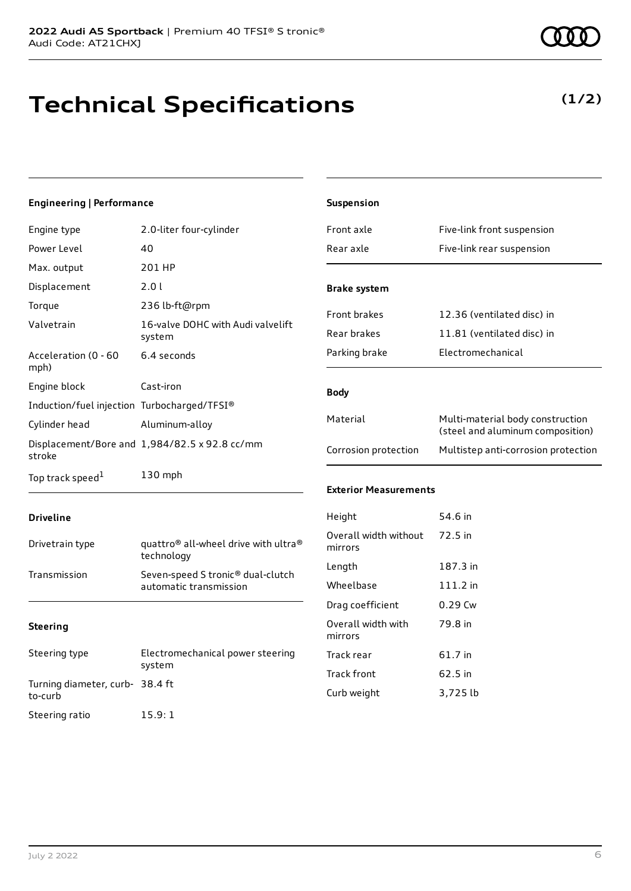# **Technical Specifications**

### **Engineering | Performance**

| Engine type                                 | 2.0-liter four-cylinder                       |
|---------------------------------------------|-----------------------------------------------|
| Power Level                                 | 40                                            |
| Max. output                                 | 201 HP                                        |
| Displacement                                | 2.0 l                                         |
| Torque                                      | 236 lb-ft@rpm                                 |
| Valvetrain                                  | 16-valve DOHC with Audi valvelift<br>system   |
| Acceleration (0 - 60<br>mph)                | 6.4 seconds                                   |
| Engine block                                | Cast-iron                                     |
| Induction/fuel injection Turbocharged/TFSI® |                                               |
| Cylinder head                               | Aluminum-alloy                                |
| stroke                                      | Displacement/Bore and 1,984/82.5 x 92.8 cc/mm |
| Top track speed <sup>1</sup>                | $130$ mph                                     |

| <b>Suspension</b>                |                                                                      |
|----------------------------------|----------------------------------------------------------------------|
| Front axle                       | Five-link front suspension                                           |
| Rear axle                        | Five-link rear suspension                                            |
| <b>Brake system</b>              |                                                                      |
| <b>Front brakes</b>              | 12.36 (ventilated disc) in                                           |
| Rear brakes                      | 11.81 (ventilated disc) in                                           |
| Parking brake                    | Electromechanical                                                    |
| <b>Body</b>                      |                                                                      |
| Material                         | Multi-material body construction<br>(steel and aluminum composition) |
| Corrosion protection             | Multistep anti-corrosion protection                                  |
| <b>Exterior Measurements</b>     |                                                                      |
| Height                           | 54.6 in                                                              |
| Overall width without<br>mirrors | 72.5 in                                                              |
| Length                           | 187.3 in                                                             |
| Wheelbase                        | 111.2 in                                                             |

79.8 in

### **Steering**

**Driveline**

| Steering type                             | Electromechanical power steering<br>system |
|-------------------------------------------|--------------------------------------------|
| Turning diameter, curb-38.4 ft<br>to-curb |                                            |
| Steering ratio                            | 15.9:1                                     |

Drivetrain type quattro<sup>®</sup> all-wheel drive with ultra<sup>®</sup> technology Transmission Seven-speed S tronic® dual-clutch

automatic transmission

Overall width with

mirrors

Drag coefficient 0.29 Cw

Track rear 61.7 in Track front 62.5 in Curb weight 3,725 lb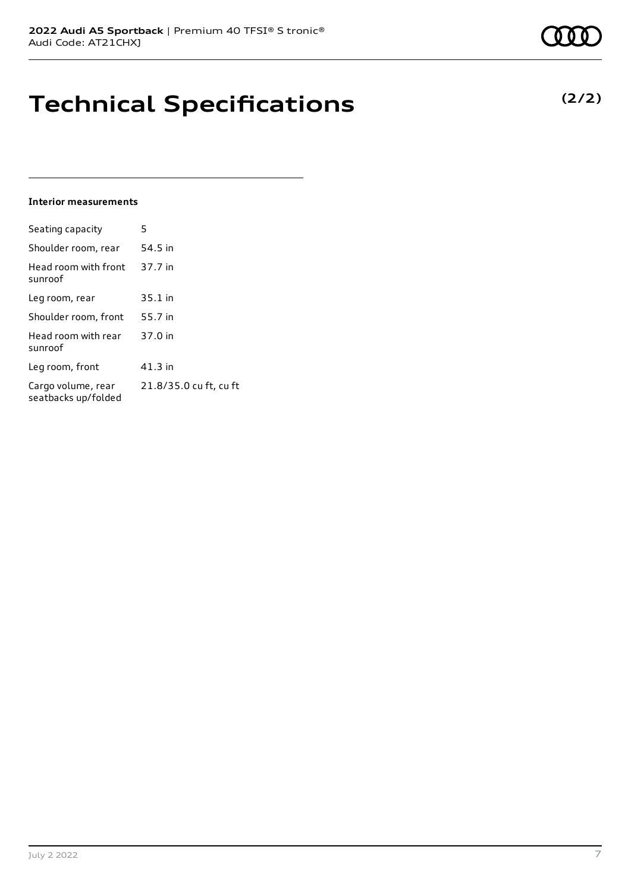# **Technical Specifications**

#### **Interior measurements**

| Seating capacity                          | 5                      |
|-------------------------------------------|------------------------|
| Shoulder room, rear                       | 54.5 in                |
| Head room with front<br>sunroof           | 37.7 in                |
| Leg room, rear                            | 35.1 in                |
| Shoulder room, front                      | 55.7 in                |
| Head room with rear<br>sunroof            | 37.0 in                |
| Leg room, front                           | $41.3$ in              |
| Cargo volume, rear<br>seatbacks up/folded | 21.8/35.0 cu ft, cu ft |

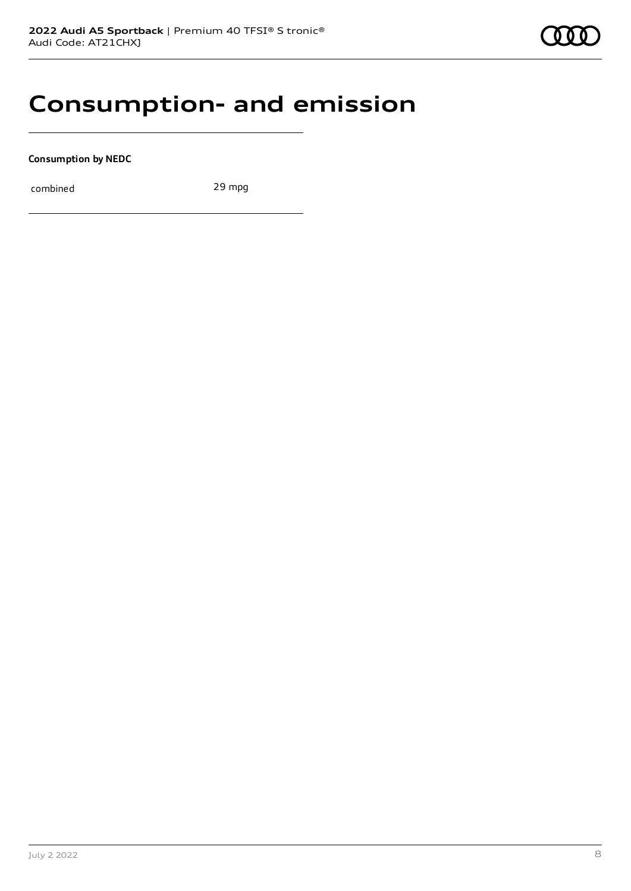### **Consumption- and emission**

**Consumption by NEDC**

combined 29 mpg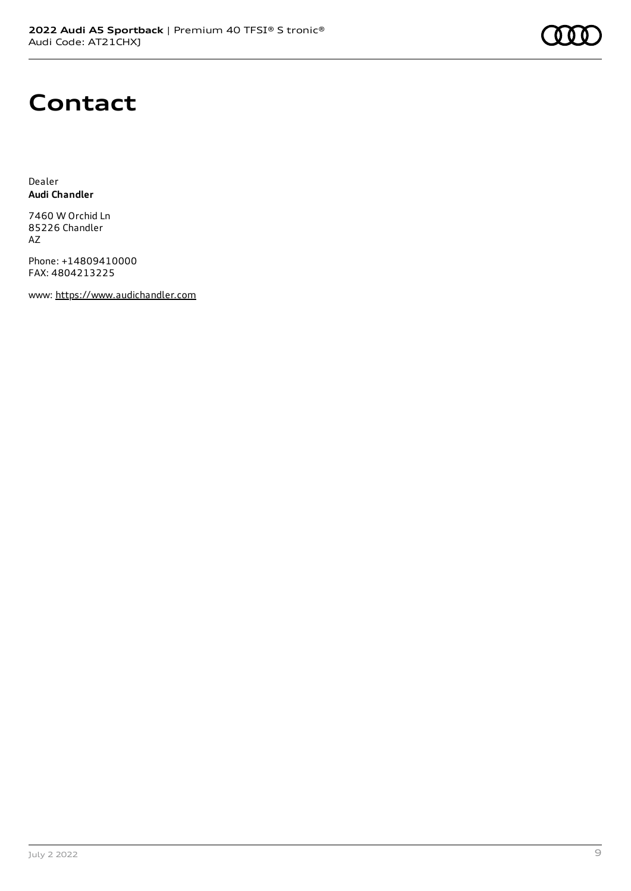

## **Contact**

Dealer **Audi Chandler**

7460 W Orchid Ln 85226 Chandler AZ

Phone: +14809410000 FAX: 4804213225

www: [https://www.audichandler.com](https://www.audichandler.com/)